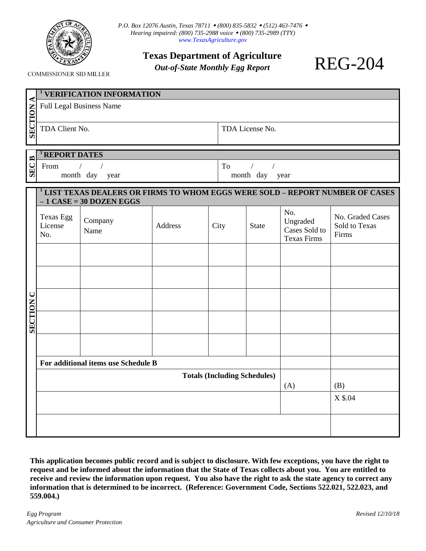

*P.O. Box 12076 Austin, Texas 78711 (800) 835-5832 (512) 463-7476 Hearing impaired: (800) 735-2988 voice (800) 735-2989 (TTY) [www.TexasAgriculture.gov](http://www.texasagriculture.gov/)*

**Texas Department of Agriculture**

*Out-of-State Monthly Egg Report*

**COMMISSIONER SID MILLER** 

|                  | <sup>1</sup> VERIFICATION INFORMATION                                                    |                 |                |                   |              |                                                        |                                            |  |  |  |
|------------------|------------------------------------------------------------------------------------------|-----------------|----------------|-------------------|--------------|--------------------------------------------------------|--------------------------------------------|--|--|--|
| <b>SECTION A</b> | <b>Full Legal Business Name</b>                                                          |                 |                |                   |              |                                                        |                                            |  |  |  |
|                  |                                                                                          |                 |                |                   |              |                                                        |                                            |  |  |  |
|                  | TDA Client No.                                                                           |                 |                | TDA License No.   |              |                                                        |                                            |  |  |  |
|                  |                                                                                          |                 |                |                   |              |                                                        |                                            |  |  |  |
| $\mathbf{B}$     | <b>REPORT DATES</b><br>$\sqrt{ }$<br>From<br>$\sqrt{ }$                                  |                 |                | To<br>$\sqrt{2}$  |              |                                                        |                                            |  |  |  |
| SEC:             | month day<br>year                                                                        |                 |                | month day<br>year |              |                                                        |                                            |  |  |  |
|                  | <sup>1</sup> LIST TEXAS DEALERS OR FIRMS TO WHOM EGGS WERE SOLD - REPORT NUMBER OF CASES |                 |                |                   |              |                                                        |                                            |  |  |  |
|                  | $-1$ CASE = 30 DOZEN EGGS                                                                |                 |                |                   |              |                                                        |                                            |  |  |  |
| <b>SECTION C</b> | <b>Texas Egg</b><br>License<br>No.                                                       | Company<br>Name | <b>Address</b> | City              | <b>State</b> | No.<br>Ungraded<br>Cases Sold to<br><b>Texas Firms</b> | No. Graded Cases<br>Sold to Texas<br>Firms |  |  |  |
|                  |                                                                                          |                 |                |                   |              |                                                        |                                            |  |  |  |
|                  |                                                                                          |                 |                |                   |              |                                                        |                                            |  |  |  |
|                  |                                                                                          |                 |                |                   |              |                                                        |                                            |  |  |  |
|                  |                                                                                          |                 |                |                   |              |                                                        |                                            |  |  |  |
|                  |                                                                                          |                 |                |                   |              |                                                        |                                            |  |  |  |
|                  | For additional items use Schedule B                                                      |                 |                |                   |              |                                                        |                                            |  |  |  |
|                  |                                                                                          |                 |                | (B)               |              |                                                        |                                            |  |  |  |
|                  |                                                                                          |                 | (A)            | X \$.04           |              |                                                        |                                            |  |  |  |
|                  |                                                                                          |                 |                |                   |              |                                                        |                                            |  |  |  |
|                  |                                                                                          |                 |                |                   |              |                                                        |                                            |  |  |  |
|                  |                                                                                          |                 |                |                   |              |                                                        |                                            |  |  |  |

**This application becomes public record and is subject to disclosure. With few exceptions, you have the right to request and be informed about the information that the State of Texas collects about you. You are entitled to receive and review the information upon request. You also have the right to ask the state agency to correct any information that is determined to be incorrect. (Reference: Government Code, Sections 522.021, 522.023, and 559.004.)**